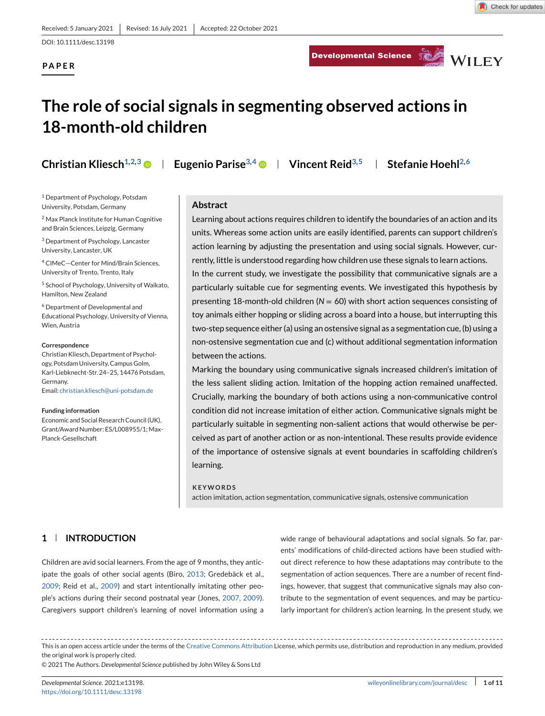**PAPER**

Developmental Science Service WILEY



# **The role of social signals in segmenting observed actions in 18-month-old children**

<sup>1</sup> Department of Psychology, Potsdam University, Potsdam, Germany

<sup>2</sup> Max Planck Institute for Human Cognitive and Brain Sciences, Leipzig, Germany

<sup>3</sup> Department of Psychology, Lancaster University, Lancaster, UK

<sup>4</sup> CIMeC—Center for Mind/Brain Sciences, University of Trento, Trento, Italy

<sup>5</sup> School of Psychology, University of Waikato, Hamilton, New Zealand

<sup>6</sup> Department of Developmental and Educational Psychology, University of Vienna, Wien, Austria

#### **Correspondence**

Christian Kliesch, Department of Psychology, Potsdam University, Campus Golm, Karl-Liebknecht-Str. 24–25, 14476 Potsdam, Germany. Email: [christian.kliesch@uni-potsdam.de](mailto:christian.kliesch@uni-potsdam.de)

#### **Funding information**

Economic and Social Research Council (UK), Grant/Award Number: ES/L008955/1; Max-Planck-Gesellschaft

**Christian Kliesch**<sup>1,2,3</sup> **D** | Eugenio Parise<sup>3,4</sup> **D** | Vincent Reid<sup>3,5</sup> | Stefanie Hoehl<sup>2,6</sup>

#### **Abstract**

Learning about actions requires children to identify the boundaries of an action and its units. Whereas some action units are easily identified, parents can support children's action learning by adjusting the presentation and using social signals. However, currently, little is understood regarding how children use these signals to learn actions. In the current study, we investigate the possibility that communicative signals are a particularly suitable cue for segmenting events. We investigated this hypothesis by presenting 18-month-old children (*N* = 60) with short action sequences consisting of toy animals either hopping or sliding across a board into a house, but interrupting this two-step sequence either (a) using an ostensive signal as a segmentation cue, (b) using a non-ostensive segmentation cue and (c) without additional segmentation information between the actions.

Marking the boundary using communicative signals increased children's imitation of the less salient sliding action. Imitation of the hopping action remained unaffected. Crucially, marking the boundary of both actions using a non-communicative control condition did not increase imitation of either action. Communicative signals might be particularly suitable in segmenting non-salient actions that would otherwise be perceived as part of another action or as non-intentional. These results provide evidence of the importance of ostensive signals at event boundaries in scaffolding children's learning.

#### **KEYWORDS**

action imitation, action segmentation, communicative signals, ostensive communication

# **1 INTRODUCTION**

Children are avid social learners. From the age of 9 months, they anticipate the goals of other social agents (Biro, [2013;](#page-8-0) Gredebäck et al., [2009;](#page-9-0) Reid et al., [2009\)](#page-10-0) and start intentionally imitating other people's actions during their second postnatal year (Jones, [2007, 2009\)](#page-9-0). Caregivers support children's learning of novel information using a

wide range of behavioural adaptations and social signals. So far, parents' modifications of child-directed actions have been studied without direct reference to how these adaptations may contribute to the segmentation of action sequences. There are a number of recent findings, however, that suggest that communicative signals may also contribute to the segmentation of event sequences, and may be particularly important for children's action learning. In the present study, we

This is an open access article under the terms of the [Creative Commons Attribution](http://creativecommons.org/licenses/by/4.0/) License, which permits use, distribution and reproduction in any medium, provided the original work is properly cited.

© 2021 The Authors. *Developmental Science* published by John Wiley & Sons Ltd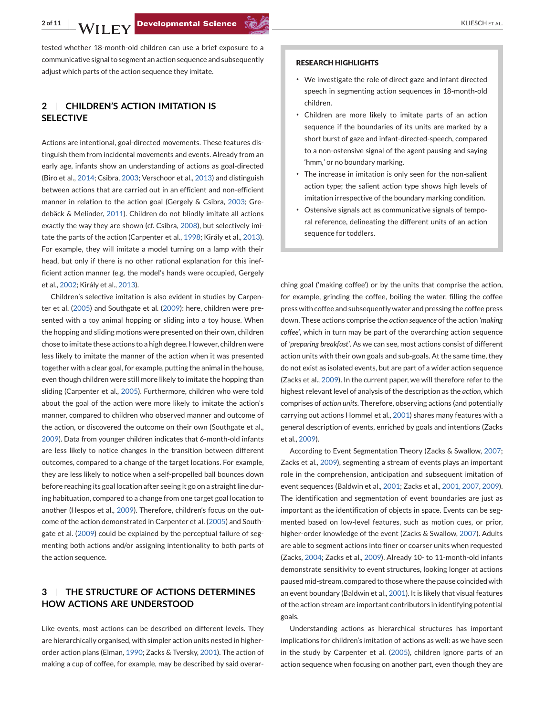tested whether 18-month-old children can use a brief exposure to a communicative signal to segment an action sequence and subsequently adjust which parts of the action sequence they imitate.

# **2 CHILDREN'S ACTION IMITATION IS SELECTIVE**

Actions are intentional, goal-directed movements. These features distinguish them from incidental movements and events. Already from an early age, infants show an understanding of actions as goal-directed (Biro et al., [2014;](#page-8-0) Csibra, [2003;](#page-9-0) Verschoor et al., [2013\)](#page-10-0) and distinguish between actions that are carried out in an efficient and non-efficient manner in relation to the action goal (Gergely & Csibra, [2003;](#page-9-0) Gredebäck & Melinder, [2011\)](#page-9-0). Children do not blindly imitate all actions exactly the way they are shown (cf. Csibra, [2008\)](#page-9-0), but selectively imitate the parts of the action (Carpenter et al., [1998;](#page-9-0) Király et al., [2013\)](#page-9-0). For example, they will imitate a model turning on a lamp with their head, but only if there is no other rational explanation for this inefficient action manner (e.g. the model's hands were occupied, Gergely et al., [2002;](#page-9-0) Király et al., [2013\)](#page-9-0).

Children's selective imitation is also evident in studies by Carpenter et al. [\(2005\)](#page-9-0) and Southgate et al. [\(2009\)](#page-10-0): here, children were presented with a toy animal hopping or sliding into a toy house. When the hopping and sliding motions were presented on their own, children chose to imitate these actions to a high degree. However, children were less likely to imitate the manner of the action when it was presented together with a clear goal, for example, putting the animal in the house, even though children were still more likely to imitate the hopping than sliding (Carpenter et al., [2005\)](#page-9-0). Furthermore, children who were told about the goal of the action were more likely to imitate the action's manner, compared to children who observed manner and outcome of the action, or discovered the outcome on their own (Southgate et al., [2009\)](#page-10-0). Data from younger children indicates that 6-month-old infants are less likely to notice changes in the transition between different outcomes, compared to a change of the target locations. For example, they are less likely to notice when a self-propelled ball bounces down before reaching its goal location after seeing it go on a straight line during habituation, compared to a change from one target goal location to another (Hespos et al., [2009\)](#page-9-0). Therefore, children's focus on the outcome of the action demonstrated in Carpenter et al. [\(2005\)](#page-9-0) and Southgate et al. [\(2009\)](#page-10-0) could be explained by the perceptual failure of segmenting both actions and/or assigning intentionality to both parts of the action sequence.

# **3 THE STRUCTURE OF ACTIONS DETERMINES HOW ACTIONS ARE UNDERSTOOD**

Like events, most actions can be described on different levels. They are hierarchically organised, with simpler action units nested in higherorder action plans (Elman, [1990;](#page-9-0) Zacks & Tversky, [2001\)](#page-10-0). The action of making a cup of coffee, for example, may be described by said overar-

#### **RESEARCH HIGHLIGHTS**

- ∙ We investigate the role of direct gaze and infant directed speech in segmenting action sequences in 18-month-old children.
- ∙ Children are more likely to imitate parts of an action sequence if the boundaries of its units are marked by a short burst of gaze and infant-directed-speech, compared to a non-ostensive signal of the agent pausing and saying 'hmm,' or no boundary marking.
- ∙ The increase in imitation is only seen for the non-salient action type; the salient action type shows high levels of imitation irrespective of the boundary marking condition.
- ∙ Ostensive signals act as communicative signals of temporal reference, delineating the different units of an action sequence for toddlers.

ching goal ('making coffee') or by the units that comprise the action, for example, grinding the coffee, boiling the water, filling the coffee press with coffee and subsequently water and pressing the coffee press down. These actions comprise the *action sequence* of the action *'making coffee'*, which in turn may be part of the overarching action sequence of *'preparing breakfast'*. As we can see, most actions consist of different action units with their own goals and sub-goals. At the same time, they do not exist as isolated events, but are part of a wider action sequence (Zacks et al., [2009\)](#page-10-0). In the current paper, we will therefore refer to the highest relevant level of analysis of the description as the *action*, which comprises of *action units*. Therefore, observing actions (and potentially carrying out actions Hommel et al., [2001\)](#page-9-0) shares many features with a general description of events, enriched by goals and intentions (Zacks et al., [2009\)](#page-10-0).

According to Event Segmentation Theory (Zacks & Swallow, [2007;](#page-10-0) Zacks et al., [2009\)](#page-10-0), segmenting a stream of events plays an important role in the comprehension, anticipation and subsequent imitation of event sequences (Baldwin et al., [2001;](#page-8-0) Zacks et al., [2001, 2007,](#page-10-0) [2009\)](#page-10-0). The identification and segmentation of event boundaries are just as important as the identification of objects in space. Events can be segmented based on low-level features, such as motion cues, or prior, higher-order knowledge of the event (Zacks & Swallow, [2007\)](#page-10-0). Adults are able to segment actions into finer or coarser units when requested (Zacks, [2004;](#page-10-0) Zacks et al., [2009\)](#page-10-0). Already 10- to 11-month-old infants demonstrate sensitivity to event structures, looking longer at actions paused mid-stream, compared to those where the pause coincided with an event boundary (Baldwin et al., [2001\)](#page-8-0). It is likely that visual features of the action stream are important contributors in identifying potential goals.

Understanding actions as hierarchical structures has important implications for children's imitation of actions as well: as we have seen in the study by Carpenter et al. [\(2005\)](#page-9-0), children ignore parts of an action sequence when focusing on another part, even though they are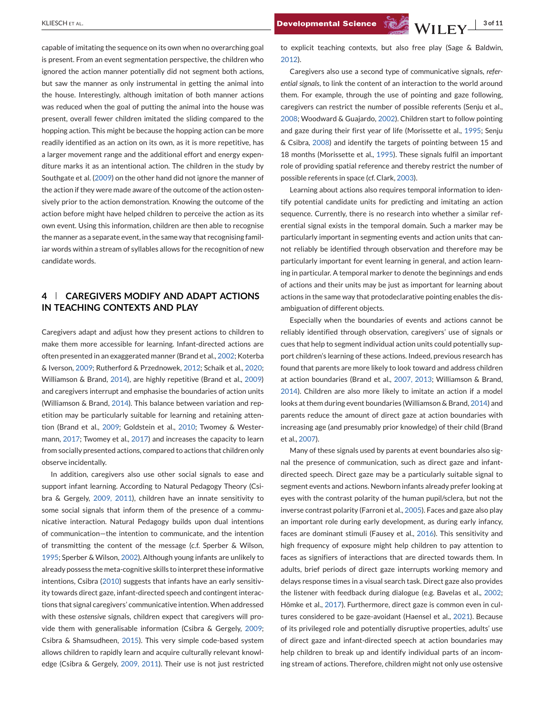capable of imitating the sequence on its own when no overarching goal is present. From an event segmentation perspective, the children who ignored the action manner potentially did not segment both actions, but saw the manner as only instrumental in getting the animal into the house. Interestingly, although imitation of both manner actions was reduced when the goal of putting the animal into the house was present, overall fewer children imitated the sliding compared to the hopping action. This might be because the hopping action can be more readily identified as an action on its own, as it is more repetitive, has a larger movement range and the additional effort and energy expenditure marks it as an intentional action. The children in the study by Southgate et al. [\(2009\)](#page-10-0) on the other hand did not ignore the manner of the action if they were made aware of the outcome of the action ostensively prior to the action demonstration. Knowing the outcome of the action before might have helped children to perceive the action as its own event. Using this information, children are then able to recognise the manner as a separate event, in the same way that recognising familiar words within a stream of syllables allows for the recognition of new candidate words.

# **4 CAREGIVERS MODIFY AND ADAPT ACTIONS IN TEACHING CONTEXTS AND PLAY**

Caregivers adapt and adjust how they present actions to children to make them more accessible for learning. Infant-directed actions are often presented in an exaggerated manner (Brand et al., [2002;](#page-8-0) Koterba & Iverson, [2009;](#page-9-0) Rutherford & Przednowek, [2012;](#page-10-0) Schaik et al., [2020;](#page-10-0) Williamson & Brand, [2014\)](#page-10-0), are highly repetitive (Brand et al., [2009\)](#page-9-0) and caregivers interrupt and emphasise the boundaries of action units (Williamson & Brand, [2014\)](#page-10-0). This balance between variation and repetition may be particularly suitable for learning and retaining attention (Brand et al., [2009;](#page-9-0) Goldstein et al., [2010;](#page-9-0) Twomey & Westermann, [2017;](#page-10-0) Twomey et al., [2017\)](#page-10-0) and increases the capacity to learn from socially presented actions, compared to actions that children only observe incidentally.

In addition, caregivers also use other social signals to ease and support infant learning. According to Natural Pedagogy Theory (Csibra & Gergely, [2009, 2011\)](#page-9-0), children have an innate sensitivity to some social signals that inform them of the presence of a communicative interaction. Natural Pedagogy builds upon dual intentions of communication—the intention to communicate, and the intention of transmitting the content of the message (c.f. Sperber & Wilson, [1995;](#page-10-0) Sperber & Wilson, [2002\)](#page-10-0). Although young infants are unlikely to already possess the meta-cognitive skills to interpret these informative intentions, Csibra [\(2010\)](#page-9-0) suggests that infants have an early sensitivity towards direct gaze, infant-directed speech and contingent interactions that signal caregivers' communicative intention. When addressed with these *ostensive* signals, children expect that caregivers will provide them with generalisable information (Csibra & Gergely, [2009;](#page-9-0) Csibra & Shamsudheen, [2015\)](#page-9-0). This very simple code-based system allows children to rapidly learn and acquire culturally relevant knowledge (Csibra & Gergely, [2009, 2011\)](#page-9-0). Their use is not just restricted

KLIESCH ET AL. **3 of 11 Developmental Science Strategy MILLEV** 

to explicit teaching contexts, but also free play (Sage & Baldwin, [2012\)](#page-10-0).

Caregivers also use a second type of communicative signals, *referential signals*, to link the content of an interaction to the world around them. For example, through the use of pointing and gaze following, caregivers can restrict the number of possible referents (Senju et al., [2008;](#page-10-0) Woodward & Guajardo, [2002\)](#page-10-0). Children start to follow pointing and gaze during their first year of life (Morissette et al., [1995;](#page-10-0) Senju & Csibra, [2008\)](#page-10-0) and identify the targets of pointing between 15 and 18 months (Morissette et al., [1995\)](#page-10-0). These signals fulfil an important role of providing spatial reference and thereby restrict the number of possible referents in space (cf. Clark, [2003\)](#page-9-0).

Learning about actions also requires temporal information to identify potential candidate units for predicting and imitating an action sequence. Currently, there is no research into whether a similar referential signal exists in the temporal domain. Such a marker may be particularly important in segmenting events and action units that cannot reliably be identified through observation and therefore may be particularly important for event learning in general, and action learning in particular. A temporal marker to denote the beginnings and ends of actions and their units may be just as important for learning about actions in the same way that protodeclarative pointing enables the disambiguation of different objects.

Especially when the boundaries of events and actions cannot be reliably identified through observation, caregivers' use of signals or cues that help to segment individual action units could potentially support children's learning of these actions. Indeed, previous research has found that parents are more likely to look toward and address children at action boundaries (Brand et al., [2007, 2013;](#page-9-0) Williamson & Brand, [2014\)](#page-10-0). Children are also more likely to imitate an action if a model looks at them during event boundaries (Williamson & Brand, [2014\)](#page-10-0) and parents reduce the amount of direct gaze at action boundaries with increasing age (and presumably prior knowledge) of their child (Brand et al., [2007\)](#page-9-0).

Many of these signals used by parents at event boundaries also signal the presence of communication, such as direct gaze and infantdirected speech. Direct gaze may be a particularly suitable signal to segment events and actions. Newborn infants already prefer looking at eyes with the contrast polarity of the human pupil/sclera, but not the inverse contrast polarity (Farroni et al., [2005\)](#page-9-0). Faces and gaze also play an important role during early development, as during early infancy, faces are dominant stimuli (Fausey et al., [2016\)](#page-9-0). This sensitivity and high frequency of exposure might help children to pay attention to faces as signifiers of interactions that are directed towards them. In adults, brief periods of direct gaze interrupts working memory and delays response times in a visual search task. Direct gaze also provides the listener with feedback during dialogue (e.g. Bavelas et al., [2002;](#page-8-0) Hömke et al., [2017\)](#page-9-0). Furthermore, direct gaze is common even in cultures considered to be gaze-avoidant (Haensel et al., [2021\)](#page-9-0). Because of its privileged role and potentially disruptive properties, adults' use of direct gaze and infant-directed speech at action boundaries may help children to break up and identify individual parts of an incoming stream of actions. Therefore, children might not only use ostensive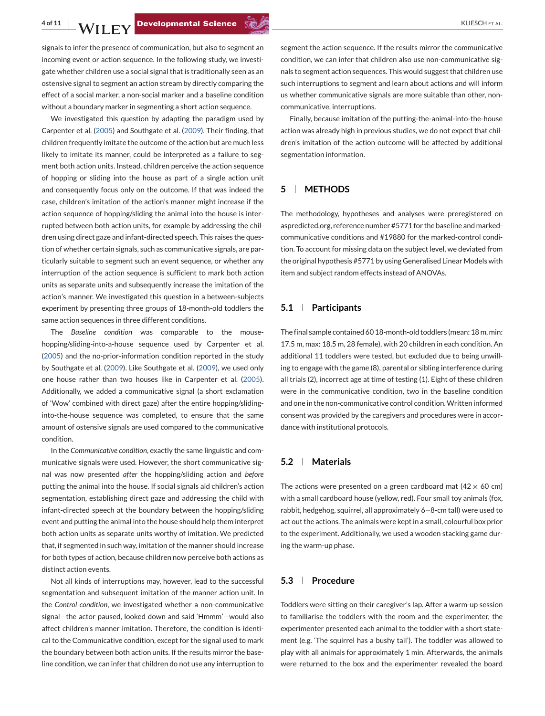signals to infer the presence of communication, but also to segment an incoming event or action sequence. In the following study, we investigate whether children use a social signal that is traditionally seen as an ostensive signal to segment an action stream by directly comparing the effect of a social marker, a non-social marker and a baseline condition without a boundary marker in segmenting a short action sequence.

We investigated this question by adapting the paradigm used by Carpenter et al. [\(2005\)](#page-9-0) and Southgate et al. [\(2009\)](#page-10-0). Their finding, that children frequently imitate the outcome of the action but are much less likely to imitate its manner, could be interpreted as a failure to segment both action units. Instead, children perceive the action sequence of hopping or sliding into the house as part of a single action unit and consequently focus only on the outcome. If that was indeed the case, children's imitation of the action's manner might increase if the action sequence of hopping/sliding the animal into the house is interrupted between both action units, for example by addressing the children using direct gaze and infant-directed speech. This raises the question of whether certain signals, such as communicative signals, are particularly suitable to segment such an event sequence, or whether any interruption of the action sequence is sufficient to mark both action units as separate units and subsequently increase the imitation of the action's manner. We investigated this question in a between-subjects experiment by presenting three groups of 18-month-old toddlers the same action sequences in three different conditions.

The *Baseline condition* was comparable to the mousehopping/sliding-into-a-house sequence used by Carpenter et al. [\(2005\)](#page-9-0) and the no-prior-information condition reported in the study by Southgate et al. [\(2009\)](#page-10-0). Like Southgate et al. [\(2009\)](#page-10-0), we used only one house rather than two houses like in Carpenter et al. [\(2005\)](#page-9-0). Additionally, we added a communicative signal (a short exclamation of 'Wow' combined with direct gaze) after the entire hopping/slidinginto-the-house sequence was completed, to ensure that the same amount of ostensive signals are used compared to the communicative condition.

In the *Communicative condition*, exactly the same linguistic and communicative signals were used. However, the short communicative signal was now presented *after* the hopping/sliding action and *before* putting the animal into the house. If social signals aid children's action segmentation, establishing direct gaze and addressing the child with infant-directed speech at the boundary between the hopping/sliding event and putting the animal into the house should help them interpret both action units as separate units worthy of imitation. We predicted that, if segmented in such way, imitation of the manner should increase for both types of action, because children now perceive both actions as distinct action events.

Not all kinds of interruptions may, however, lead to the successful segmentation and subsequent imitation of the manner action unit. In the *Control condition*, we investigated whether a non-communicative signal—the actor paused, looked down and said 'Hmmm'—would also affect children's manner imitation. Therefore, the condition is identical to the Communicative condition, except for the signal used to mark the boundary between both action units. If the results mirror the baseline condition, we can infer that children do not use any interruption to

segment the action sequence. If the results mirror the communicative condition, we can infer that children also use non-communicative signals to segment action sequences. This would suggest that children use such interruptions to segment and learn about actions and will inform us whether communicative signals are more suitable than other, noncommunicative, interruptions.

Finally, because imitation of the putting-the-animal-into-the-house action was already high in previous studies, we do not expect that children's imitation of the action outcome will be affected by additional segmentation information.

# **5 METHODS**

The methodology, hypotheses and analyses were preregistered on aspredicted.org, reference number #5771 for the baseline and markedcommunicative conditions and #19880 for the marked-control condition. To account for missing data on the subject level, we deviated from the original hypothesis #5771 by using Generalised Linear Models with item and subject random effects instead of ANOVAs.

## **5.1 Participants**

The final sample contained 60 18-month-old toddlers (mean: 18 m, min: 17.5 m, max: 18.5 m, 28 female), with 20 children in each condition. An additional 11 toddlers were tested, but excluded due to being unwilling to engage with the game (8), parental or sibling interference during all trials (2), incorrect age at time of testing (1). Eight of these children were in the communicative condition, two in the baseline condition and one in the non-communicative control condition.Written informed consent was provided by the caregivers and procedures were in accordance with institutional protocols.

#### **5.2 Materials**

The actions were presented on a green cardboard mat (42  $\times$  60 cm) with a small cardboard house (yellow, red). Four small toy animals (fox, rabbit, hedgehog, squirrel, all approximately 6−8-cm tall) were used to act out the actions. The animals were kept in a small, colourful box prior to the experiment. Additionally, we used a wooden stacking game during the warm-up phase.

# **5.3 Procedure**

Toddlers were sitting on their caregiver's lap. After a warm-up session to familiarise the toddlers with the room and the experimenter, the experimenter presented each animal to the toddler with a short statement (e.g. 'The squirrel has a bushy tail'). The toddler was allowed to play with all animals for approximately 1 min. Afterwards, the animals were returned to the box and the experimenter revealed the board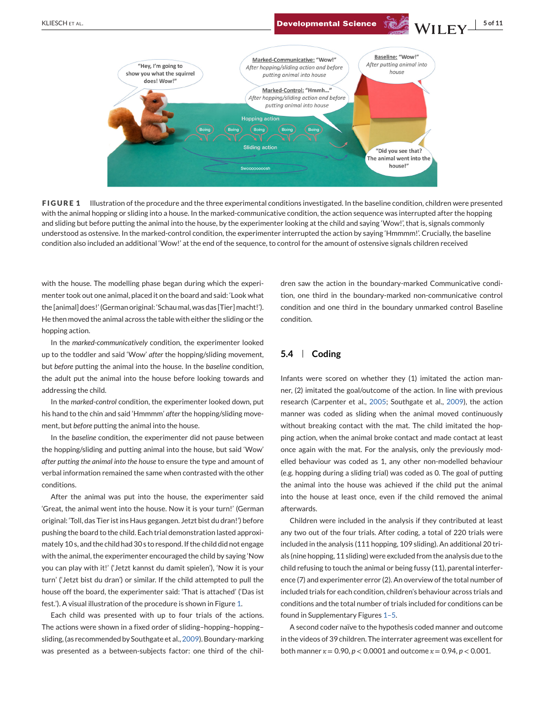

**FIGURE 1** Illustration of the procedure and the three experimental conditions investigated. In the baseline condition, children were presented with the animal hopping or sliding into a house. In the marked-communicative condition, the action sequence was interrupted after the hopping and sliding but before putting the animal into the house, by the experimenter looking at the child and saying 'Wow!', that is, signals commonly understood as ostensive. In the marked-control condition, the experimenter interrupted the action by saying 'Hmmmm!'. Crucially, the baseline condition also included an additional 'Wow!' at the end of the sequence, to control for the amount of ostensive signals children received

with the house. The modelling phase began during which the experimenter took out one animal, placed it on the board and said: 'Look what the [animal] does!' (German original: 'Schau mal, was das [Tier] macht!'). He then moved the animal across the table with either the sliding or the hopping action.

In the *marked-communicatively* condition, the experimenter looked up to the toddler and said 'Wow' *after* the hopping/sliding movement, but *before* putting the animal into the house. In the *baseline* condition, the adult put the animal into the house before looking towards and addressing the child.

In the *marked-control* condition, the experimenter looked down, put his hand to the chin and said 'Hmmmm' *after* the hopping/sliding movement, but *before* putting the animal into the house.

In the *baseline* condition, the experimenter did not pause between the hopping/sliding and putting animal into the house, but said 'Wow' *after putting the animal into the house* to ensure the type and amount of verbal information remained the same when contrasted with the other conditions.

After the animal was put into the house, the experimenter said 'Great, the animal went into the house. Now it is your turn!' (German original: 'Toll, das Tier ist ins Haus gegangen. Jetzt bist du dran!') before pushing the board to the child. Each trial demonstration lasted approximately 10 s, and the child had 30 s to respond. If the child did not engage with the animal, the experimenter encouraged the child by saying 'Now you can play with it!' ('Jetzt kannst du damit spielen'), 'Now it is your turn' ('Jetzt bist du dran') or similar. If the child attempted to pull the house off the board, the experimenter said: 'That is attached' ('Das ist fest.'). A visual illustration of the procedure is shown in Figure 1.

Each child was presented with up to four trials of the actions. The actions were shown in a fixed order of sliding–hopping–hopping– sliding, (as recommended by Southgate et al., [2009\)](#page-10-0). Boundary-marking was presented as a between-subjects factor: one third of the chil-

dren saw the action in the boundary-marked Communicative condition, one third in the boundary-marked non-communicative control condition and one third in the boundary unmarked control Baseline condition.

## **5.4 Coding**

Infants were scored on whether they (1) imitated the action manner, (2) imitated the goal/outcome of the action. In line with previous research (Carpenter et al., [2005;](#page-9-0) Southgate et al., [2009\)](#page-10-0), the action manner was coded as sliding when the animal moved continuously without breaking contact with the mat. The child imitated the hopping action, when the animal broke contact and made contact at least once again with the mat. For the analysis, only the previously modelled behaviour was coded as 1, any other non-modelled behaviour (e.g. hopping during a sliding trial) was coded as 0. The goal of putting the animal into the house was achieved if the child put the animal into the house at least once, even if the child removed the animal afterwards.

Children were included in the analysis if they contributed at least any two out of the four trials. After coding, a total of 220 trials were included in the analysis (111 hopping, 109 sliding). An additional 20 trials (nine hopping, 11 sliding) were excluded from the analysis due to the child refusing to touch the animal or being fussy (11), parental interference (7) and experimenter error (2). An overview of the total number of included trials for each condition, children's behaviour across trials and conditions and the total number of trials included for conditions can be found in Supplementary Figures 1–5.

A second coder naïve to the hypothesis coded manner and outcome in the videos of 39 children. The interrater agreement was excellent for both manner  $\kappa = 0.90$ ,  $p < 0.0001$  and outcome  $\kappa = 0.94$ ,  $p < 0.001$ .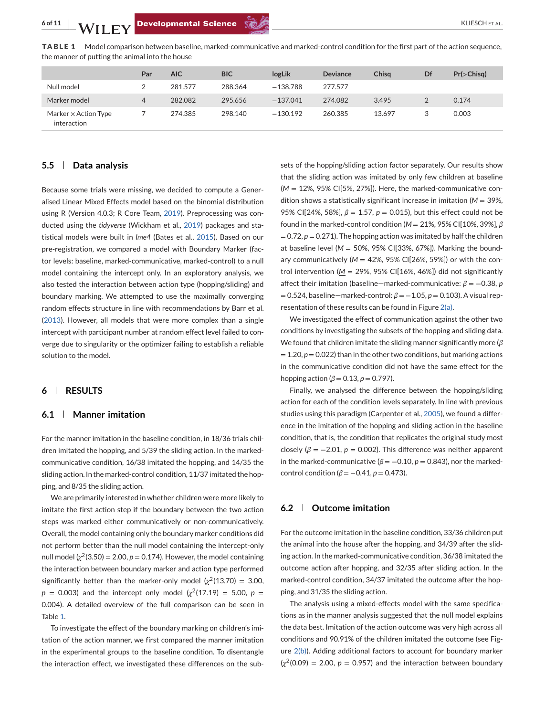

**TABLE 1** Model comparison between baseline, marked-communicative and marked-control condition for the first part of the action sequence, the manner of putting the animal into the house

|                                            | Par | <b>AIC</b> | <b>BIC</b> | logLik     | <b>Deviance</b> | Chisa  | Df | $Pr(>\rightset{Chisq})$ |
|--------------------------------------------|-----|------------|------------|------------|-----------------|--------|----|-------------------------|
| Null model                                 |     | 281.577    | 288.364    | $-138.788$ | 277.577         |        |    |                         |
| Marker model                               | 4   | 282.082    | 295.656    | $-137.041$ | 274.082         | 3.495  |    | 0.174                   |
| Marker $\times$ Action Type<br>interaction |     | 274.385    | 298.140    | $-130.192$ | 260.385         | 13.697 | 3  | 0.003                   |

# **5.5 Data analysis**

Because some trials were missing, we decided to compute a Generalised Linear Mixed Effects model based on the binomial distribution using R (Version 4.0.3; R Core Team, [2019\)](#page-10-0). Preprocessing was conducted using the *tidyverse* (Wickham et al., [2019\)](#page-10-0) packages and statistical models were built in *lme4* (Bates et al., [2015\)](#page-8-0). Based on our pre-registration, we compared a model with Boundary Marker (factor levels: baseline, marked-communicative, marked-control) to a null model containing the intercept only. In an exploratory analysis, we also tested the interaction between action type (hopping/sliding) and boundary marking. We attempted to use the maximally converging random effects structure in line with recommendations by Barr et al. [\(2013\)](#page-8-0). However, all models that were more complex than a single intercept with participant number at random effect level failed to converge due to singularity or the optimizer failing to establish a reliable solution to the model.

#### **6 RESULTS**

#### **6.1 Manner imitation**

For the manner imitation in the baseline condition, in 18/36 trials children imitated the hopping, and 5/39 the sliding action. In the markedcommunicative condition, 16/38 imitated the hopping, and 14/35 the sliding action. In the marked-control condition, 11/37 imitated the hopping, and 8/35 the sliding action.

We are primarily interested in whether children were more likely to imitate the first action step if the boundary between the two action steps was marked either communicatively or non-communicatively. Overall, the model containing only the boundary marker conditions did not perform better than the null model containing the intercept-only null model ( $\chi^2$ (3.50) = 2.00,  $p$  = 0.174). However, the model containing the interaction between boundary marker and action type performed significantly better than the marker-only model  $\chi^2(13.70) = 3.00$ ,  $p = 0.003$ ) and the intercept only model  $\chi^2(17.19) = 5.00$ ,  $p =$ 0.004). A detailed overview of the full comparison can be seen in Table 1.

To investigate the effect of the boundary marking on children's imitation of the action manner, we first compared the manner imitation in the experimental groups to the baseline condition. To disentangle the interaction effect, we investigated these differences on the subsets of the hopping/sliding action factor separately. Our results show that the sliding action was imitated by only few children at baseline (*M* = 12%, 95% CI[5%, 27%]). Here, the marked-communicative condition shows a statistically significant increase in imitation (*M* = 39%, 95% CI[24%, 58%], *β* = 1.57, *p* = 0.015), but this effect could not be found in the marked-control condition (*M* = 21%, 95% CI[10%, 39%], *β*  $= 0.72$ ,  $p = 0.271$ ). The hopping action was imitated by half the children at baseline level ( $M = 50\%$ , 95% CI[33%, 67%]). Marking the boundary communicatively ( $M = 42\%$ , 95% CI[26%, 59%]) or with the control intervention ( $M = 29\%$ , 95% CI[16%, 46%]) did not significantly affect their imitation (baseline—marked-communicative: *β* = −0.38, *p* = 0.524, baseline—marked-control: *β* = −1.05, *p* = 0.103). A visual representation of these results can be found in Figure [2\(a\).](#page-6-0)

We investigated the effect of communication against the other two conditions by investigating the subsets of the hopping and sliding data. We found that children imitate the sliding manner significantly more (*β*  $= 1.20, p = 0.022$ ) than in the other two conditions, but marking actions in the communicative condition did not have the same effect for the hopping action ( $\beta$  = 0.13,  $p$  = 0.797).

Finally, we analysed the difference between the hopping/sliding action for each of the condition levels separately. In line with previous studies using this paradigm (Carpenter et al., [2005\)](#page-9-0), we found a difference in the imitation of the hopping and sliding action in the baseline condition, that is, the condition that replicates the original study most closely ( $\beta = -2.01$ ,  $p = 0.002$ ). This difference was neither apparent in the marked-communicative ( $\beta = -0.10$ ,  $p = 0.843$ ), nor the markedcontrol condition ( $β = -0.41, p = 0.473$ ).

### **6.2 Outcome imitation**

For the outcome imitation in the baseline condition, 33/36 children put the animal into the house after the hopping, and 34/39 after the sliding action. In the marked-communicative condition, 36/38 imitated the outcome action after hopping, and 32/35 after sliding action. In the marked-control condition, 34/37 imitated the outcome after the hopping, and 31/35 the sliding action.

The analysis using a mixed-effects model with the same specifications as in the manner analysis suggested that the null model explains the data best. Imitation of the action outcome was very high across all conditions and 90.91% of the children imitated the outcome (see Figure [2\(b\)\)](#page-6-0). Adding additional factors to account for boundary marker  $\left(\chi^2(0.09)\right) = 2.00$ ,  $p = 0.957$ ) and the interaction between boundary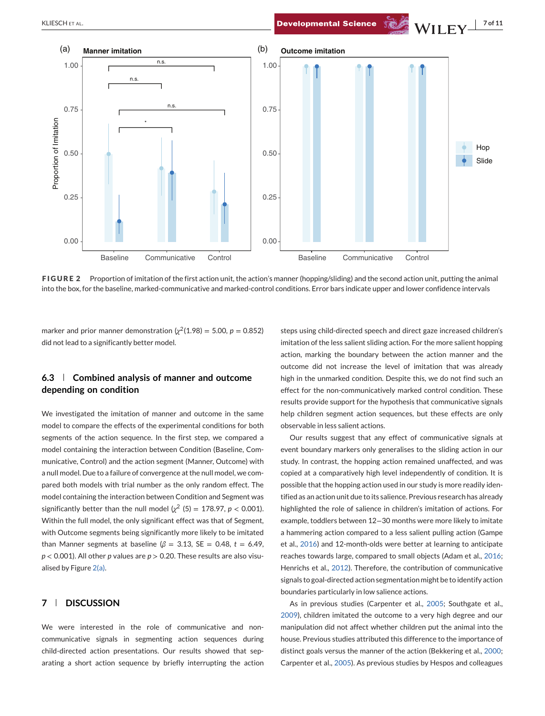<span id="page-6-0"></span>**KLIESCHETAL. NO. 2008.** Developmental Science  $\sqrt[3]{\mathbf{W}}$  **MILEY**  $\frac{1}{2}$  of 11



**FIGURE 2** Proportion of imitation of the first action unit, the action's manner (hopping/sliding) and the second action unit, putting the animal into the box, for the baseline, marked-communicative and marked-control conditions. Error bars indicate upper and lower confidence intervals

marker and prior manner demonstration  $\left(\chi^2(1.98) = 5.00, p = 0.852\right)$ did not lead to a significantly better model.

# **6.3 Combined analysis of manner and outcome depending on condition**

We investigated the imitation of manner and outcome in the same model to compare the effects of the experimental conditions for both segments of the action sequence. In the first step, we compared a model containing the interaction between Condition (Baseline, Communicative, Control) and the action segment (Manner, Outcome) with a null model. Due to a failure of convergence at the null model, we compared both models with trial number as the only random effect. The model containing the interaction between Condition and Segment was significantly better than the null model  $\chi^2$  (5) = 178.97, *p* < 0.001). Within the full model, the only significant effect was that of Segment, with Outcome segments being significantly more likely to be imitated than Manner segments at baseline ( $\beta$  = 3.13, SE = 0.48, *t* = 6.49, *p* < 0.001). All other *p* values are *p* > 0.20. These results are also visualised by Figure 2(a).

## **7 DISCUSSION**

We were interested in the role of communicative and noncommunicative signals in segmenting action sequences during child-directed action presentations. Our results showed that separating a short action sequence by briefly interrupting the action

steps using child-directed speech and direct gaze increased children's imitation of the less salient sliding action. For the more salient hopping action, marking the boundary between the action manner and the outcome did not increase the level of imitation that was already high in the unmarked condition. Despite this, we do not find such an effect for the non-communicatively marked control condition. These results provide support for the hypothesis that communicative signals help children segment action sequences, but these effects are only observable in less salient actions.

Our results suggest that any effect of communicative signals at event boundary markers only generalises to the sliding action in our study. In contrast, the hopping action remained unaffected, and was copied at a comparatively high level independently of condition. It is possible that the hopping action used in our study is more readily identified as an action unit due to its salience. Previous research has already highlighted the role of salience in children's imitation of actions. For example, toddlers between 12−30 months were more likely to imitate a hammering action compared to a less salient pulling action (Gampe et al., [2016\)](#page-9-0) and 12-month-olds were better at learning to anticipate reaches towards large, compared to small objects (Adam et al., [2016;](#page-8-0) Henrichs et al., [2012\)](#page-9-0). Therefore, the contribution of communicative signals to goal-directed action segmentation might be to identify action boundaries particularly in low salience actions.

As in previous studies (Carpenter et al., [2005;](#page-9-0) Southgate et al., [2009\)](#page-10-0), children imitated the outcome to a very high degree and our manipulation did not affect whether children put the animal into the house. Previous studies attributed this difference to the importance of distinct goals versus the manner of the action (Bekkering et al., [2000;](#page-8-0) Carpenter et al., [2005\)](#page-9-0). As previous studies by Hespos and colleagues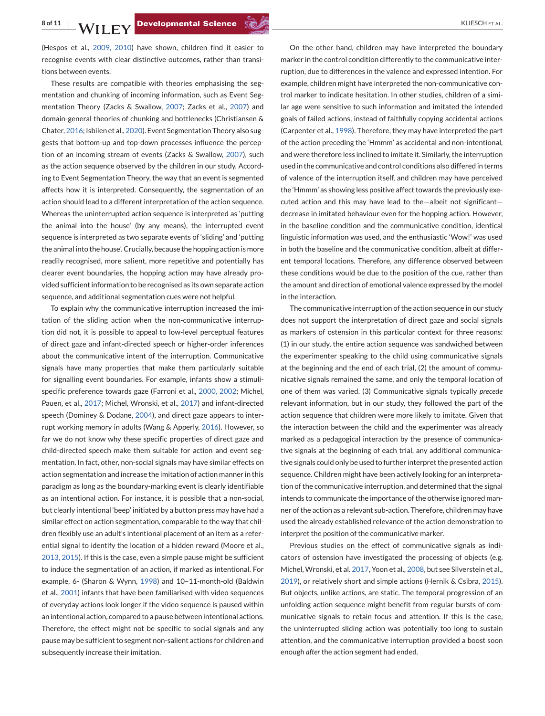(Hespos et al., [2009, 2010\)](#page-9-0) have shown, children find it easier to recognise events with clear distinctive outcomes, rather than transitions between events.

These results are compatible with theories emphasising the segmentation and chunking of incoming information, such as Event Segmentation Theory (Zacks & Swallow, [2007;](#page-10-0) Zacks et al., [2007\)](#page-10-0) and domain-general theories of chunking and bottlenecks (Christiansen & Chater, [2016;](#page-9-0) Isbilen et al., [2020\)](#page-9-0). Event Segmentation Theory also suggests that bottom-up and top-down processes influence the perception of an incoming stream of events (Zacks & Swallow, [2007\)](#page-10-0), such as the action sequence observed by the children in our study. According to Event Segmentation Theory, the way that an event is segmented affects how it is interpreted. Consequently, the segmentation of an action should lead to a different interpretation of the action sequence. Whereas the uninterrupted action sequence is interpreted as 'putting the animal into the house' (by any means), the interrupted event sequence is interpreted as two separate events of 'sliding' and 'putting the animal into the house'. Crucially, because the hopping action is more readily recognised, more salient, more repetitive and potentially has clearer event boundaries, the hopping action may have already provided sufficient information to be recognised as its own separate action sequence, and additional segmentation cues were not helpful.

To explain why the communicative interruption increased the imitation of the sliding action when the non-communicative interruption did not, it is possible to appeal to low-level perceptual features of direct gaze and infant-directed speech or higher-order inferences about the communicative intent of the interruption. Communicative signals have many properties that make them particularly suitable for signalling event boundaries. For example, infants show a stimulispecific preference towards gaze (Farroni et al., [2000, 2002;](#page-9-0) Michel, Pauen, et al., [2017;](#page-10-0) Michel, Wronski, et al., [2017\)](#page-10-0) and infant-directed speech (Dominey & Dodane, [2004\)](#page-9-0), and direct gaze appears to interrupt working memory in adults (Wang & Apperly, [2016\)](#page-10-0). However, so far we do not know why these specific properties of direct gaze and child-directed speech make them suitable for action and event segmentation. In fact, other, non-social signals may have similar effects on action segmentation and increase the imitation of action manner in this paradigm as long as the boundary-marking event is clearly identifiable as an intentional action. For instance, it is possible that a non-social, but clearly intentional 'beep' initiated by a button press may have had a similar effect on action segmentation, comparable to the way that children flexibly use an adult's intentional placement of an item as a referential signal to identify the location of a hidden reward (Moore et al., [2013, 2015\)](#page-10-0). If this is the case, even a simple pause might be sufficient to induce the segmentation of an action, if marked as intentional. For example, 6- (Sharon & Wynn, [1998\)](#page-10-0) and 10–11-month-old (Baldwin et al., [2001\)](#page-8-0) infants that have been familiarised with video sequences of everyday actions look longer if the video sequence is paused within an intentional action, compared to a pause between intentional actions. Therefore, the effect might not be specific to social signals and any pause may be sufficient to segment non-salient actions for children and subsequently increase their imitation.

On the other hand, children may have interpreted the boundary marker in the control condition differently to the communicative interruption, due to differences in the valence and expressed intention. For example, children might have interpreted the non-communicative control marker to indicate hesitation. In other studies, children of a similar age were sensitive to such information and imitated the intended goals of failed actions, instead of faithfully copying accidental actions (Carpenter et al., [1998\)](#page-9-0). Therefore, they may have interpreted the part of the action preceding the 'Hmmm' as accidental and non-intentional, and were therefore less inclined to imitate it. Similarly, the interruption used in the communicative and control conditions also differed in terms of valence of the interruption itself, and children may have perceived the 'Hmmm' as showing less positive affect towards the previously executed action and this may have lead to the—albeit not significant decrease in imitated behaviour even for the hopping action. However, in the baseline condition and the communicative condition, identical linguistic information was used, and the enthusiastic 'Wow!' was used in both the baseline and the communicative condition, albeit at different temporal locations. Therefore, any difference observed between these conditions would be due to the position of the cue, rather than the amount and direction of emotional valence expressed by the model in the interaction.

The communicative interruption of the action sequence in our study does not support the interpretation of direct gaze and social signals as markers of ostension in this particular context for three reasons: (1) in our study, the entire action sequence was sandwiched between the experimenter speaking to the child using communicative signals at the beginning and the end of each trial, (2) the amount of communicative signals remained the same, and only the temporal location of one of them was varied. (3) Communicative signals typically *precede* relevant information, but in our study, they followed the part of the action sequence that children were more likely to imitate. Given that the interaction between the child and the experimenter was already marked as a pedagogical interaction by the presence of communicative signals at the beginning of each trial, any additional communicative signals could only be used to further interpret the presented action sequence. Children might have been actively looking for an interpretation of the communicative interruption, and determined that the signal intends to communicate the importance of the otherwise ignored manner of the action as a relevant sub-action. Therefore, children may have used the already established relevance of the action demonstration to interpret the position of the communicative marker.

Previous studies on the effect of communicative signals as indicators of ostension have investigated the processing of objects (e.g. Michel, Wronski, et al. [2017,](#page-10-0) Yoon et al., [2008,](#page-10-0) but see Silverstein et al., [2019\)](#page-10-0), or relatively short and simple actions (Hernik & Csibra, [2015\)](#page-9-0). But objects, unlike actions, are static. The temporal progression of an unfolding action sequence might benefit from regular bursts of communicative signals to retain focus and attention. If this is the case, the uninterrupted sliding action was potentially too long to sustain attention, and the communicative interruption provided a boost soon enough *after* the action segment had ended.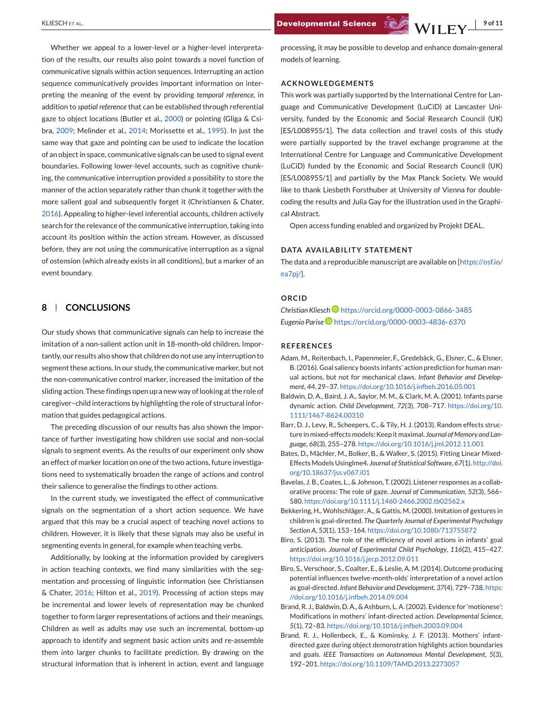<span id="page-8-0"></span>KLIESCH ET AL. **19 of 11 Developmental Science Strategy MILLEV** 

Whether we appeal to a lower-level or a higher-level interpretation of the results, our results also point towards a novel function of communicative signals within action sequences. Interrupting an action sequence communicatively provides important information on interpreting the meaning of the event by providing *temporal reference*, in addition to *spatial reference* that can be established through referential gaze to object locations (Butler et al., [2000\)](#page-9-0) or pointing (Gliga & Csibra, [2009;](#page-9-0) Melinder et al., [2014;](#page-10-0) Morissette et al., [1995\)](#page-10-0). In just the same way that gaze and pointing can be used to indicate the location of an object in space, communicative signals can be used to signal event boundaries. Following lower-level accounts, such as cognitive chunking, the communicative interruption provided a possibility to store the manner of the action separately rather than chunk it together with the more salient goal and subsequently forget it (Christiansen & Chater, [2016\)](#page-9-0). Appealing to higher-level inferential accounts, children actively search for the relevance of the communicative interruption, taking into account its position within the action stream. However, as discussed before, they are not using the communicative interruption as a signal of ostension (which already exists in all conditions), but a marker of an event boundary.

# **8 CONCLUSIONS**

Our study shows that communicative signals can help to increase the imitation of a non-salient action unit in 18-month-old children. Importantly, our results also show that children do not use any interruption to segment these actions. In our study, the communicative marker, but not the non-communicative control marker, increased the imitation of the sliding action. These findings open up a new way of looking at the role of caregiver–child interactions by highlighting the role of structural information that guides pedagogical actions.

The preceding discussion of our results has also shown the importance of further investigating how children use social and non-social signals to segment events. As the results of our experiment only show an effect of marker location on one of the two actions, future investigations need to systematically broaden the range of actions and control their salience to generalise the findings to other actions.

In the current study, we investigated the effect of communicative signals on the segmentation of a short action sequence. We have argued that this may be a crucial aspect of teaching novel actions to children. However, it is likely that these signals may also be useful in segmenting events in general, for example when teaching verbs.

Additionally, by looking at the information provided by caregivers in action teaching contexts, we find many similarities with the segmentation and processing of linguistic information (see Christiansen & Chater, [2016;](#page-9-0) Hilton et al., [2019\)](#page-9-0). Processing of action steps may be incremental and lower levels of representation may be chunked together to form larger representations of actions and their meanings. Children as well as adults may use such an incremental, bottom-up approach to identify and segment basic action units and re-assemble them into larger chunks to facilitate prediction. By drawing on the structural information that is inherent in action, event and language

processing, it may be possible to develop and enhance domain-general models of learning.

#### **ACKNOWLEDGEMENTS**

This work was partially supported by the International Centre for Language and Communicative Development (LuCiD) at Lancaster University, funded by the Economic and Social Research Council (UK) [ES/L008955/1]. The data collection and travel costs of this study were partially supported by the travel exchange programme at the International Centre for Language and Communicative Development (LuCiD) funded by the Economic and Social Research Council (UK) [ES/L008955/1] and partially by the Max Planck Society. We would like to thank Liesbeth Forsthuber at University of Vienna for doublecoding the results and Julia Gay for the illustration used in the Graphical Abstract.

Open access funding enabled and organized by Projekt DEAL.

#### **DATA AVAILABILITY STATEMENT**

The data and a reproducible manuscript are available on [\[https://osf.io/](https://osf.io/ea7pj/) [ea7pj/\]](https://osf.io/ea7pj/).

## **ORCID**

*Christian Kliesc[h](https://orcid.org/0000-0003-0866-3485)* <https://orcid.org/0000-0003-0866-3485> *Eugenio Parise* <https://orcid.org/0000-0003-4836-6370>

### **REFERENCES**

- Adam, M., Reitenbach, I., Papenmeier, F., Gredebäck, G., Elsner, C., & Elsner, B. (2016). Goal saliency boosts infants' action prediction for human manual actions, but not for mechanical claws. *Infant Behavior and Development*, *44*, 29–37. <https://doi.org/10.1016/j.infbeh.2016.05.001>
- Baldwin, D. A., Baird, J. A., Saylor, M. M., & Clark, M. A. (2001). Infants parse dynamic action. *Child Development*, *72*(3), 708–717. [https://doi.org/10.](https://doi.org/10.1111/1467-8624.00310) [1111/1467-8624.00310](https://doi.org/10.1111/1467-8624.00310)
- Barr, D. J., Levy, R., Scheepers, C., & Tily, H. J. (2013). Random effects structure in mixed-effects models: Keep it maximal. *Journal of Memory and Language*, *68*(3), 255–278. <https://doi.org/10.1016/j.jml.2012.11.001>
- Bates, D., Mächler, M., Bolker, B., & Walker, S. (2015). Fitting Linear Mixed-Effects Models Usinglme4. *Journal of Statistical Software*, *67*(1). [http://doi.](http://doi.org/10.18637/jss.v067.i01) [org/10.18637/jss.v067.i01](http://doi.org/10.18637/jss.v067.i01)
- Bavelas, J. B., Coates, L., & Johnson, T. (2002). Listener responses as a collaborative process: The role of gaze. *Journal of Communication*, *52*(3), 566– 580. <https://doi.org/10.1111/j.1460-2466.2002.tb02562.x>
- Bekkering, H., Wohlschläger, A., & Gattis, M. (2000). Imitation of gestures in children is goal-directed. *The Quarterly Journal of Experimental Psychology Section A*, *53*(1), 153–164. <https://doi.org/10.1080/713755872>
- Biro, S. (2013). The role of the efficiency of novel actions in infants' goal anticipation. *Journal of Experimental Child Psychology*, *116*(2), 415–427. <https://doi.org/10.1016/j.jecp.2012.09.011>
- Biro, S., Verschoor, S., Coalter, E., & Leslie, A. M. (2014). Outcome producing potential influences twelve-month-olds' interpretation of a novel action as goal-directed. *Infant Behavior and Development*, *37*(4), 729–738. [https:](https://doi.org/10.1016/j.infbeh.2014.09.004) [//doi.org/10.1016/j.infbeh.2014.09.004](https://doi.org/10.1016/j.infbeh.2014.09.004)
- Brand, R. J., Baldwin, D. A., & Ashburn, L. A. (2002). Evidence for 'motionese': Modifications in mothers' infant-directed action. *Developmental Science*, *5*(1), 72–83. <https://doi.org/10.1016/j.infbeh.2003.09.004>
- Brand, R. J., Hollenbeck, E., & Kominsky, J. F. (2013). Mothers' infantdirected gaze during object demonstration highlights action boundaries and goals. *IEEE Transactions on Autonomous Mental Development*, *5*(3), 192–201. <https://doi.org/10.1109/TAMD.2013.2273057>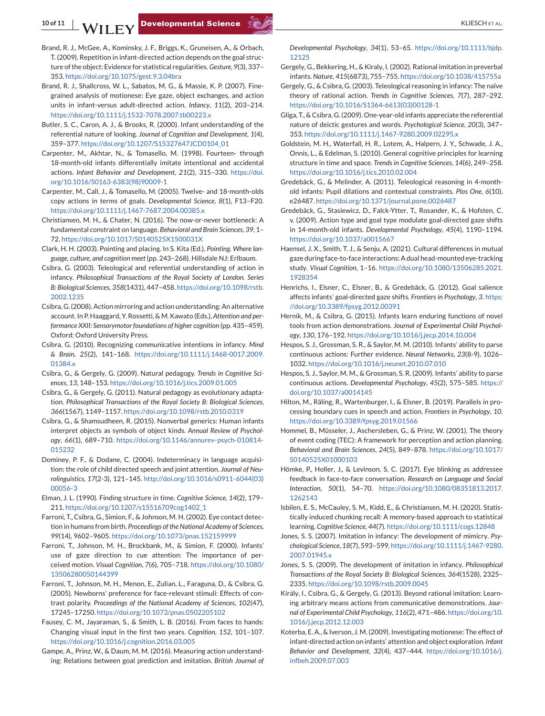- <span id="page-9-0"></span>Brand, R. J., McGee, A., Kominsky, J. F., Briggs, K., Gruneisen, A., & Orbach, T. (2009). Repetition in infant-directed action depends on the goal structure of the object: Evidence for statistical regularities.*Gesture*, *9*(3), 337– 353. <https://doi.org/10.1075/gest.9.3.04bra>
- Brand, R. J., Shallcross, W. L., Sabatos, M. G., & Massie, K. P. (2007). Finegrained analysis of motionese: Eye gaze, object exchanges, and action units in infant-versus adult-directed action. *Infancy*, *11*(2), 203–214. <https://doi.org/10.1111/j.1532-7078.2007.tb00223.x>
- Butler, S. C., Caron, A. J., & Brooks, R. (2000). Infant understanding of the referential nature of looking. *Journal of Cognition and Development*, *1*(4), 359–377. [https://doi.org/10.1207/S15327647JCD0104\\_01](https://doi.org/10.1207/S15327647JCD0104_01)
- Carpenter, M., Akhtar, N., & Tomasello, M. (1998). Fourteen- through 18-month-old infants differentially imitate intentional and accidental actions. *Infant Behavior and Development*, *21*(2), 315–330. [https://doi.](https://doi.org/10.1016/S0163-6383(98)90009-1) [org/10.1016/S0163-6383\(98\)90009-1](https://doi.org/10.1016/S0163-6383(98)90009-1)
- Carpenter, M., Call, J., & Tomasello, M. (2005). Twelve- and 18-month-olds copy actions in terms of goals. *Developmental Science*, *8*(1), F13–F20. <https://doi.org/10.1111/j.1467-7687.2004.00385.x>
- Christiansen, M. H., & Chater, N. (2016). The now-or-never bottleneck: A fundamental constraint on language. *Behavioral and Brain Sciences*, *39*, 1– 72. <https://doi.org/10.1017/S0140525X1500031X>
- Clark, H. H. (2003). Pointing and placing. In S. Kita (Ed.), *Pointing. Where language, culture, and cognition meet* (pp. 243–268). Hillsdale NJ: Erlbaum.
- Csibra, G. (2003). Teleological and referential understanding of action in infancy. *Philosophical Transactions of the Royal Society of London. Series B: Biological Sciences*, *358*(1431), 447–458. [https://doi.org/10.1098/rstb.](https://doi.org/10.1098/rstb.2002.1235) [2002.1235](https://doi.org/10.1098/rstb.2002.1235)
- Csibra, G. (2008). Action mirroring and action understanding: An alternative account. In P. Haaggard, Y. Rossetti, & M. Kawato (Eds.), *Attention and performance XXII: Sensorymotor foundations of higher cognition* (pp. 435–459). Oxford: Oxford University Press.
- Csibra, G. (2010). Recognizing communicative intentions in infancy. *Mind & Brain*, *25*(2), 141–168. [https://doi.org/10.1111/j.1468-0017.2009.](https://doi.org/10.1111/j.1468-0017.2009.01384.x) [01384.x](https://doi.org/10.1111/j.1468-0017.2009.01384.x)
- Csibra, G., & Gergely, G. (2009). Natural pedagogy. *Trends in Cognitive Sciences*, *13*, 148–153. <https://doi.org/10.1016/j.tics.2009.01.005>
- Csibra, G., & Gergely, G. (2011). Natural pedagogy as evolutionary adaptation. *Philosophical Transactions of the Royal Society B: Biological Sciences*, *366*(1567), 1149–1157. <https://doi.org/10.1098/rstb.2010.0319>
- Csibra, G., & Shamsudheen, R. (2015). Nonverbal generics: Human infants interpret objects as symbols of object kinds. *Annual Review of Psychology*, *66*(1), 689–710. [https://doi.org/10.1146/annurev-psych-010814-](https://doi.org/10.1146/annurev-psych-010814-015232) [015232](https://doi.org/10.1146/annurev-psych-010814-015232)
- Dominey, P. F., & Dodane, C. (2004). Indeterminacy in language acquisition: the role of child directed speech and joint attention. *Journal of Neurolinguistics*, *17*(2-3), 121–145. [http://doi.org/10.1016/s0911-6044\(03\)](http://doi.org/10.1016/s0911-6044(03)00056-3) [00056-3](http://doi.org/10.1016/s0911-6044(03)00056-3)
- Elman, J. L. (1990). Finding structure in time. *Cognitive Science*, *14*(2), 179– 211. [https://doi.org/10.1207/s15516709cog1402\\_1](https://doi.org/10.1207/s15516709cog1402_1)
- Farroni, T., Csibra, G., Simion, F., & Johnson, M. H. (2002). Eye contact detection in humans from birth. *Proceedings of the National Academy of Sciences*, *99*(14), 9602–9605. <https://doi.org/10.1073/pnas.152159999>
- Farroni, T., Johnson, M. H., Brockbank, M., & Simion, F. (2000). Infants' use of gaze direction to cue attention: The importance of perceived motion. *Visual Cognition*, *7*(6), 705–718. [https://doi.org/10.1080/](https://doi.org/10.1080/13506280050144399) [13506280050144399](https://doi.org/10.1080/13506280050144399)
- Farroni, T., Johnson, M. H., Menon, E., Zulian, L., Faraguna, D., & Csibra, G. (2005). Newborns' preference for face-relevant stimuli: Effects of contrast polarity. *Proceedings of the National Academy of Sciences*, *102*(47), 17245–17250. <https://doi.org/10.1073/pnas.0502205102>
- Fausey, C. M., Jayaraman, S., & Smith, L. B. (2016). From faces to hands: Changing visual input in the first two years. *Cognition*, *152*, 101–107. <https://doi.org/10.1016/j.cognition.2016.03.005>
- Gampe, A., Prinz, W., & Daum, M. M. (2016). Measuring action understanding: Relations between goal prediction and imitation. *British Journal of*

*Developmental Psychology*, *34*(1), 53–65. [https://doi.org/10.1111/bjdp.](https://doi.org/10.1111/bjdp.12125) [12125](https://doi.org/10.1111/bjdp.12125)

- Gergely, G., Bekkering, H., & Kiraly, I. (2002). Rational imitation in preverbal infants. *Nature*, *415*(6873), 755–755. <https://doi.org/10.1038/415755a>
- Gergely, G., & Csibra, G. (2003). Teleological reasoning in infancy: The naïve theory of rational action. *Trends in Cognitive Sciences*, *7*(7), 287–292. [https://doi.org/10.1016/S1364-6613\(03\)00128-1](https://doi.org/10.1016/S1364-6613(03)00128-1)
- Gliga, T., & Csibra, G. (2009). One-year-old infants appreciate the referential nature of deictic gestures and words. *Psychological Science*, *20*(3), 347– 353. <https://doi.org/10.1111/j.1467-9280.2009.02295.x>
- Goldstein, M. H., Waterfall, H. R., Lotem, A., Halpern, J. Y., Schwade, J. A., Onnis, L., & Edelman, S. (2010). General cognitive principles for learning structure in time and space. *Trends in Cognitive Sciences*, *14*(6), 249–258. <https://doi.org/10.1016/j.tics.2010.02.004>
- Gredebäck, G., & Melinder, A. (2011). Teleological reasoning in 4-monthold infants: Pupil dilations and contextual constraints. *Plos One*, *6*(10), e26487. <https://doi.org/10.1371/journal.pone.0026487>
- Gredebäck, G., Stasiewicz, D., Falck-Ytter, T., Rosander, K., & Hofsten, C. v. (2009). Action type and goal type modulate goal-directed gaze shifts in 14-month-old infants. *Developmental Psychology*, *45*(4), 1190–1194. <https://doi.org/10.1037/a0015667>
- Haensel, J. X., Smith, T. J., & Senju, A. (2021). Cultural differences in mutual gaze during face-to-face interactions: A dual head-mounted eye-tracking study. *Visual Cognition*, 1–16. [https://doi.org/10.1080/13506285.2021.](https://doi.org/10.1080/13506285.2021.1928354) [1928354](https://doi.org/10.1080/13506285.2021.1928354)
- Henrichs, I., Elsner, C., Elsner, B., & Gredebäck, G. (2012). Goal salience affects infants' goal-directed gaze shifts. *Frontiers in Psychology*, *3*. [https:](https://doi.org/10.3389/fpsyg.2012.00391) [//doi.org/10.3389/fpsyg.2012.00391](https://doi.org/10.3389/fpsyg.2012.00391)
- Hernik, M., & Csibra, G. (2015). Infants learn enduring functions of novel tools from action demonstrations. *Journal of Experimental Child Psychology*, *130*, 176–192. <https://doi.org/10.1016/j.jecp.2014.10.004>
- Hespos, S. J., Grossman, S. R., & Saylor, M. M. (2010). Infants' ability to parse continuous actions: Further evidence. *Neural Networks*, *23*(8-9), 1026– 1032. <https://doi.org/10.1016/j.neunet.2010.07.010>
- Hespos, S. J., Saylor, M. M., & Grossman, S. R. (2009). Infants' ability to parse continuous actions. *Developmental Psychology*, *45*(2), 575–585. [https://](https://doi.org/10.1037/a0014145) [doi.org/10.1037/a0014145](https://doi.org/10.1037/a0014145)
- Hilton, M., Räling, R., Wartenburger, I., & Elsner, B. (2019). Parallels in processing boundary cues in speech and action. *Frontiers in Psychology*, *10*. <https://doi.org/10.3389/fpsyg.2019.01566>
- Hommel, B., Müsseler, J., Aschersleben, G., & Prinz, W. (2001). The theory of event coding (TEC): A framework for perception and action planning. *Behavioral and Brain Sciences*, *24*(5), 849–878. [https://doi.org/10.1017/](https://doi.org/10.1017/S0140525X01000103) [S0140525X01000103](https://doi.org/10.1017/S0140525X01000103)
- Hömke, P., Holler, J., & Levinson, S. C. (2017). Eye blinking as addressee feedback in face-to-face conversation. *Research on Language and Social Interaction*, *50*(1), 54–70. [https://doi.org/10.1080/08351813.2017.](https://doi.org/10.1080/08351813.2017.1262143) [1262143](https://doi.org/10.1080/08351813.2017.1262143)
- Isbilen, E. S., McCauley, S. M., Kidd, E., & Christiansen, M. H. (2020). Statistically induced chunking recall: A memory-based approach to statistical learning. *Cognitive Science*, *44*(7). <https://doi.org/10.1111/cogs.12848>
- Jones, S. S. (2007). Imitation in infancy: The development of mimicry. *Psychological Science*, *18*(7), 593–599. [https://doi.org/10.1111/j.1467-9280.](https://doi.org/10.1111/j.1467-9280.2007.01945.x) [2007.01945.x](https://doi.org/10.1111/j.1467-9280.2007.01945.x)
- Jones, S. S. (2009). The development of imitation in infancy. *Philosophical Transactions of the Royal Society B: Biological Sciences*, *364*(1528), 2325– 2335. <https://doi.org/10.1098/rstb.2009.0045>
- Király, I., Csibra, G., & Gergely, G. (2013). Beyond rational imitation: Learning arbitrary means actions from communicative demonstrations. *Journal of Experimental Child Psychology*, *116*(2), 471–486. [https://doi.org/10.](https://doi.org/10.1016/j.jecp.2012.12.003) [1016/j.jecp.2012.12.003](https://doi.org/10.1016/j.jecp.2012.12.003)
- Koterba, E. A., & Iverson, J. M. (2009). Investigating motionese: The effect of infant-directed action on infants' attention and object exploration. *Infant Behavior and Development*, *32*(4), 437–444. [https://doi.org/10.1016/j.](https://doi.org/10.1016/j.infbeh.2009.07.003) [infbeh.2009.07.003](https://doi.org/10.1016/j.infbeh.2009.07.003)